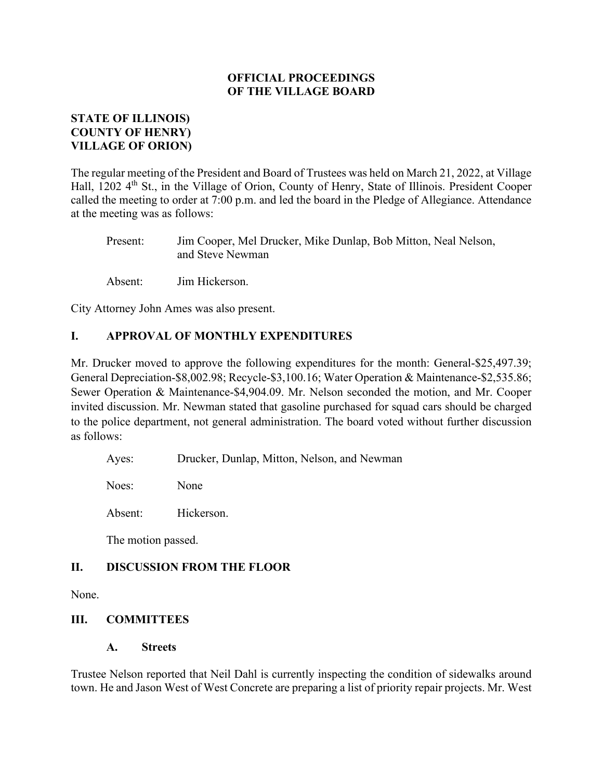## **STATE OF ILLINOIS) COUNTY OF HENRY) VILLAGE OF ORION)**

The regular meeting of the President and Board of Trustees was held on March 21, 2022, at Village Hall, 1202 4<sup>th</sup> St., in the Village of Orion, County of Henry, State of Illinois. President Cooper called the meeting to order at 7:00 p.m. and led the board in the Pledge of Allegiance. Attendance at the meeting was as follows:

Present: Jim Cooper, Mel Drucker, Mike Dunlap, Bob Mitton, Neal Nelson, and Steve Newman

Absent: Jim Hickerson.

City Attorney John Ames was also present.

## **I. APPROVAL OF MONTHLY EXPENDITURES**

Mr. Drucker moved to approve the following expenditures for the month: General-\$25,497.39; General Depreciation-\$8,002.98; Recycle-\$3,100.16; Water Operation & Maintenance-\$2,535.86; Sewer Operation & Maintenance-\$4,904.09. Mr. Nelson seconded the motion, and Mr. Cooper invited discussion. Mr. Newman stated that gasoline purchased for squad cars should be charged to the police department, not general administration. The board voted without further discussion as follows:

Ayes: Drucker, Dunlap, Mitton, Nelson, and Newman

Noes: None

Absent: Hickerson.

The motion passed.

#### **II. DISCUSSION FROM THE FLOOR**

None.

#### **III. COMMITTEES**

**A. Streets**

Trustee Nelson reported that Neil Dahl is currently inspecting the condition of sidewalks around town. He and Jason West of West Concrete are preparing a list of priority repair projects. Mr. West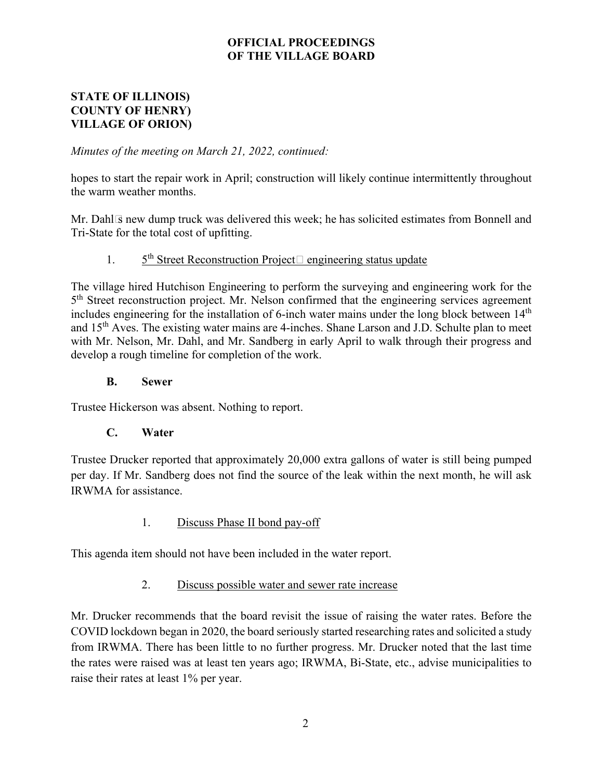### **STATE OF ILLINOIS) COUNTY OF HENRY) VILLAGE OF ORION)**

*Minutes of the meeting on March 21, 2022, continued:* 

hopes to start the repair work in April; construction will likely continue intermittently throughout the warm weather months.

Mr. Dahl's new dump truck was delivered this week; he has solicited estimates from Bonnell and Tri-State for the total cost of upfitting.

# 1. 5<sup>th</sup> Street Reconstruction Project—engineering status update

The village hired Hutchison Engineering to perform the surveying and engineering work for the  $5<sup>th</sup>$  Street reconstruction project. Mr. Nelson confirmed that the engineering services agreement includes engineering for the installation of 6-inch water mains under the long block between  $14<sup>th</sup>$ and 15<sup>th</sup> Aves. The existing water mains are 4-inches. Shane Larson and J.D. Schulte plan to meet with Mr. Nelson, Mr. Dahl, and Mr. Sandberg in early April to walk through their progress and develop a rough timeline for completion of the work.

#### **B. Sewer**

Trustee Hickerson was absent. Nothing to report.

#### **C. Water**

Trustee Drucker reported that approximately 20,000 extra gallons of water is still being pumped per day. If Mr. Sandberg does not find the source of the leak within the next month, he will ask IRWMA for assistance.

## 1. Discuss Phase II bond pay-off

This agenda item should not have been included in the water report.

#### 2. Discuss possible water and sewer rate increase

Mr. Drucker recommends that the board revisit the issue of raising the water rates. Before the COVID lockdown began in 2020, the board seriously started researching rates and solicited a study from IRWMA. There has been little to no further progress. Mr. Drucker noted that the last time the rates were raised was at least ten years ago; IRWMA, Bi-State, etc., advise municipalities to raise their rates at least 1% per year.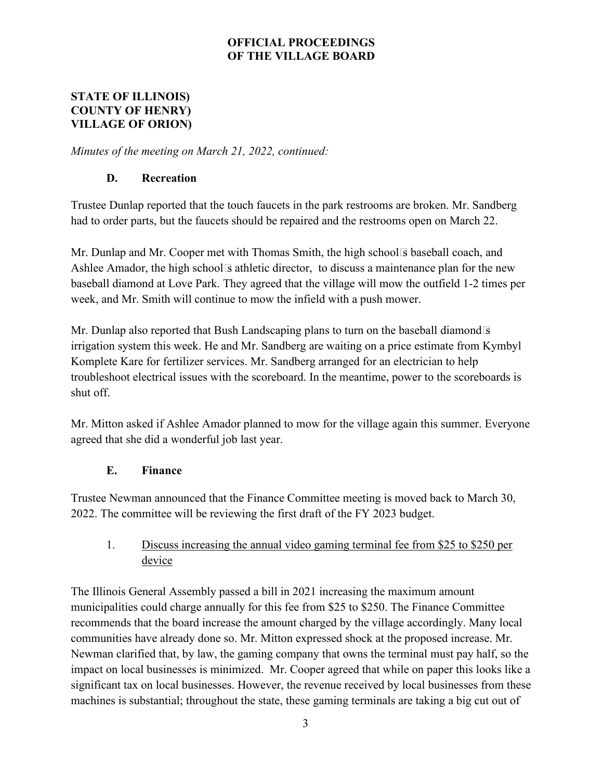### **STATE OF ILLINOIS) COUNTY OF HENRY) VILLAGE OF ORION)**

*Minutes of the meeting on March 21, 2022, continued:* 

# **D. Recreation**

Trustee Dunlap reported that the touch faucets in the park restrooms are broken. Mr. Sandberg had to order parts, but the faucets should be repaired and the restrooms open on March 22.

Mr. Dunlap and Mr. Cooper met with Thomas Smith, the high school's baseball coach, and Ashlee Amador, the high school's athletic director, to discuss a maintenance plan for the new baseball diamond at Love Park. They agreed that the village will mow the outfield 1-2 times per week, and Mr. Smith will continue to mow the infield with a push mower.

Mr. Dunlap also reported that Bush Landscaping plans to turn on the baseball diamond's irrigation system this week. He and Mr. Sandberg are waiting on a price estimate from Kymbyl Komplete Kare for fertilizer services. Mr. Sandberg arranged for an electrician to help troubleshoot electrical issues with the scoreboard. In the meantime, power to the scoreboards is shut off.

Mr. Mitton asked if Ashlee Amador planned to mow for the village again this summer. Everyone agreed that she did a wonderful job last year.

# **E. Finance**

Trustee Newman announced that the Finance Committee meeting is moved back to March 30, 2022. The committee will be reviewing the first draft of the FY 2023 budget.

# 1. Discuss increasing the annual video gaming terminal fee from \$25 to \$250 per device

The Illinois General Assembly passed a bill in 2021 increasing the maximum amount municipalities could charge annually for this fee from \$25 to \$250. The Finance Committee recommends that the board increase the amount charged by the village accordingly. Many local communities have already done so. Mr. Mitton expressed shock at the proposed increase. Mr. Newman clarified that, by law, the gaming company that owns the terminal must pay half, so the impact on local businesses is minimized. Mr. Cooper agreed that while on paper this looks like a significant tax on local businesses. However, the revenue received by local businesses from these machines is substantial; throughout the state, these gaming terminals are taking a big cut out of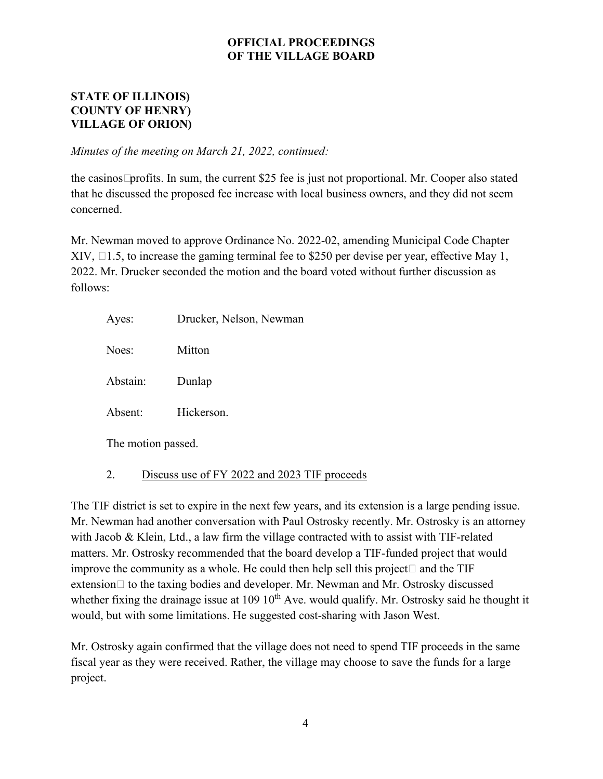### **STATE OF ILLINOIS) COUNTY OF HENRY) VILLAGE OF ORION)**

*Minutes of the meeting on March 21, 2022, continued:* 

the casinos' profits. In sum, the current \$25 fee is just not proportional. Mr. Cooper also stated that he discussed the proposed fee increase with local business owners, and they did not seem concerned.

Mr. Newman moved to approve Ordinance No. 2022-02, amending Municipal Code Chapter XIV, § 1.5, to increase the gaming terminal fee to \$250 per devise per year, effective May 1, 2022. Mr. Drucker seconded the motion and the board voted without further discussion as follows:

| Ayes:              | Drucker, Nelson, Newman |
|--------------------|-------------------------|
| Noes:              | Mitton                  |
| Abstain:           | Dunlap                  |
| Absent:            | Hickerson.              |
| The motion passed. |                         |
|                    |                         |

2. Discuss use of FY 2022 and 2023 TIF proceeds

The TIF district is set to expire in the next few years, and its extension is a large pending issue. Mr. Newman had another conversation with Paul Ostrosky recently. Mr. Ostrosky is an attorney with Jacob & Klein, Ltd., a law firm the village contracted with to assist with TIF-related matters. Mr. Ostrosky recommended that the board develop a TIF-funded project that would improve the community as a whole. He could then help sell this project—and the TIF extension—to the taxing bodies and developer. Mr. Newman and Mr. Ostrosky discussed whether fixing the drainage issue at 109  $10<sup>th</sup>$  Ave. would qualify. Mr. Ostrosky said he thought it would, but with some limitations. He suggested cost-sharing with Jason West.

Mr. Ostrosky again confirmed that the village does not need to spend TIF proceeds in the same fiscal year as they were received. Rather, the village may choose to save the funds for a large project.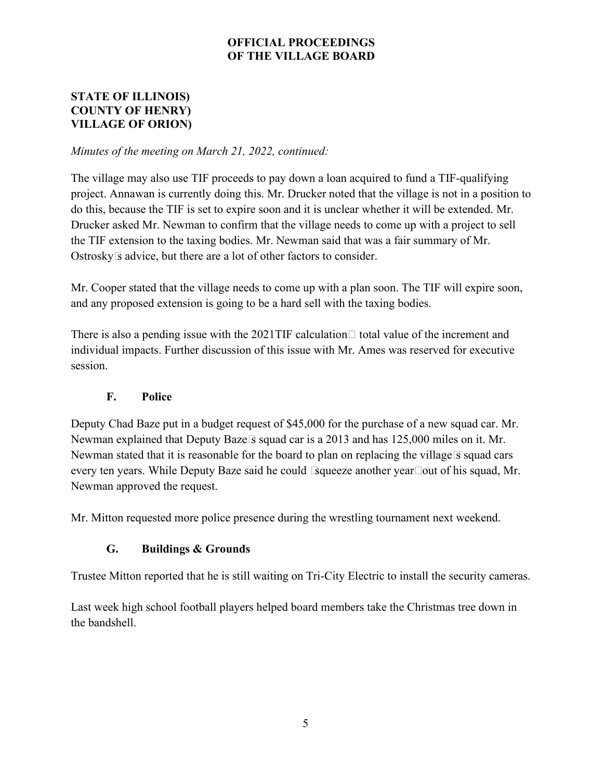## **STATE OF ILLINOIS) COUNTY OF HENRY) VILLAGE OF ORION)**

#### *Minutes of the meeting on March 21, 2022, continued:*

The village may also use TIF proceeds to pay down a loan acquired to fund a TIF-qualifying project. Annawan is currently doing this. Mr. Drucker noted that the village is not in a position to do this, because the TIF is set to expire soon and it is unclear whether it will be extended. Mr. Drucker asked Mr. Newman to confirm that the village needs to come up with a project to sell the TIF extension to the taxing bodies. Mr. Newman said that was a fair summary of Mr. Ostrosky's advice, but there are a lot of other factors to consider.

Mr. Cooper stated that the village needs to come up with a plan soon. The TIF will expire soon, and any proposed extension is going to be a hard sell with the taxing bodies.

There is also a pending issue with the 2021TIF calculation—total value of the increment and individual impacts. Further discussion of this issue with Mr. Ames was reserved for executive session.

## **F. Police**

Deputy Chad Baze put in a budget request of \$45,000 for the purchase of a new squad car. Mr. Newman explained that Deputy Baze's squad car is a 2013 and has 125,000 miles on it. Mr. Newman stated that it is reasonable for the board to plan on replacing the village's squad cars every ten years. While Deputy Baze said he could "squeeze another year" out of his squad, Mr. Newman approved the request.

Mr. Mitton requested more police presence during the wrestling tournament next weekend.

#### **G. Buildings & Grounds**

Trustee Mitton reported that he is still waiting on Tri-City Electric to install the security cameras.

Last week high school football players helped board members take the Christmas tree down in the bandshell.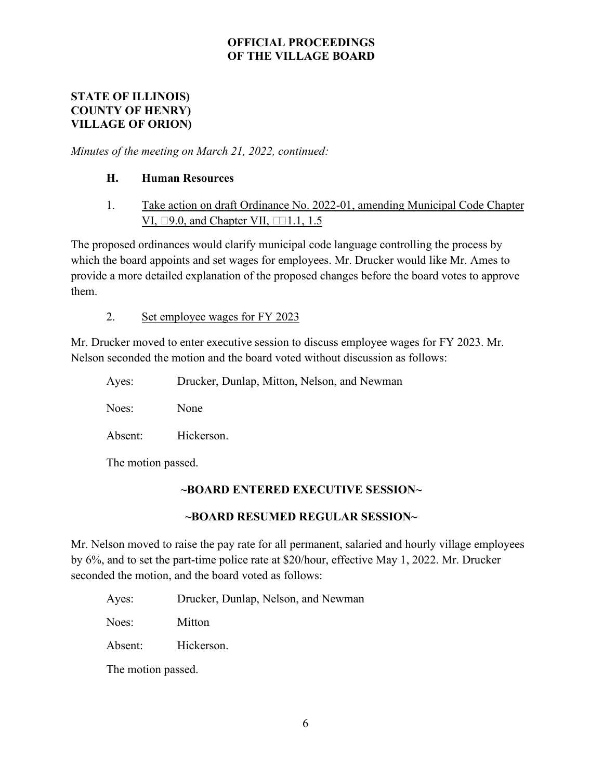#### **STATE OF ILLINOIS) COUNTY OF HENRY) VILLAGE OF ORION)**

*Minutes of the meeting on March 21, 2022, continued:* 

## **H. Human Resources**

1. Take action on draft Ordinance No. 2022-01, amending Municipal Code Chapter VI, § 9.0, and Chapter VII, §§ 1.1, 1.5

The proposed ordinances would clarify municipal code language controlling the process by which the board appoints and set wages for employees. Mr. Drucker would like Mr. Ames to provide a more detailed explanation of the proposed changes before the board votes to approve them.

#### 2. Set employee wages for FY 2023

Mr. Drucker moved to enter executive session to discuss employee wages for FY 2023. Mr. Nelson seconded the motion and the board voted without discussion as follows:

|                       | Ayes: | Drucker, Dunlap, Mitton, Nelson, and Newman |
|-----------------------|-------|---------------------------------------------|
| Noes:<br>None         |       |                                             |
| Hickerson.<br>Absent: |       |                                             |

The motion passed.

## **~BOARD ENTERED EXECUTIVE SESSION~**

#### **~BOARD RESUMED REGULAR SESSION~**

Mr. Nelson moved to raise the pay rate for all permanent, salaried and hourly village employees by 6%, and to set the part-time police rate at \$20/hour, effective May 1, 2022. Mr. Drucker seconded the motion, and the board voted as follows:

Ayes: Drucker, Dunlap, Nelson, and Newman

Noes: Mitton

Absent: Hickerson.

The motion passed.